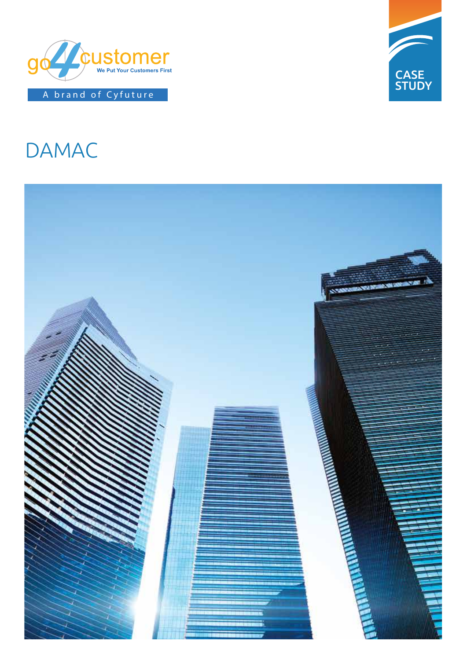



# DAMAC